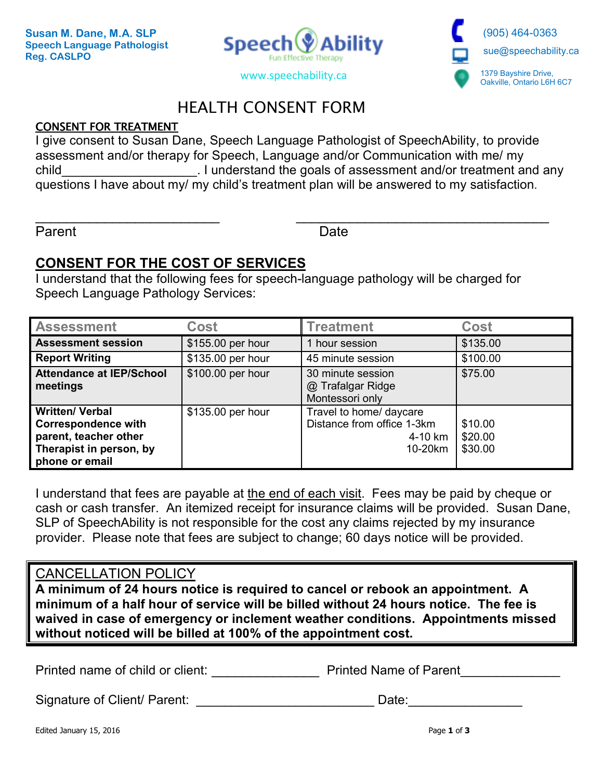



# HEALTH CONSENT FORM

## **CONSENT FOR TREATMENT**

I give consent to Susan Dane, Speech Language Pathologist of SpeechAbility, to provide assessment and/or therapy for Speech, Language and/or Communication with me/ my child child child child child child child child child child child any child child child child any child child and any questions I have about my/ my child's treatment plan will be answered to my satisfaction.

 $\overline{\phantom{a}}$  , and the contract of the contract of the contract of the contract of the contract of the contract of the contract of the contract of the contract of the contract of the contract of the contract of the contrac

Parent **Date** 

# **CONSENT FOR THE COST OF SERVICES**

I understand that the following fees for speech-language pathology will be charged for Speech Language Pathology Services:

| <b>Assessment</b>                                                                                                          | <b>Cost</b>       | <b>Treatment</b>                                                            | <b>Cost</b>                   |
|----------------------------------------------------------------------------------------------------------------------------|-------------------|-----------------------------------------------------------------------------|-------------------------------|
| <b>Assessment session</b>                                                                                                  | \$155.00 per hour | hour session                                                                | \$135.00                      |
| <b>Report Writing</b>                                                                                                      | \$135.00 per hour | 45 minute session                                                           | \$100.00                      |
| <b>Attendance at IEP/School</b><br>meetings                                                                                | \$100.00 per hour | 30 minute session<br>@ Trafalgar Ridge<br>Montessori only                   | \$75.00                       |
| <b>Written/ Verbal</b><br><b>Correspondence with</b><br>parent, teacher other<br>Therapist in person, by<br>phone or email | \$135.00 per hour | Travel to home/ daycare<br>Distance from office 1-3km<br>4-10 km<br>10-20km | \$10.00<br>\$20.00<br>\$30.00 |

I understand that fees are payable at the end of each visit. Fees may be paid by cheque or cash or cash transfer. An itemized receipt for insurance claims will be provided. Susan Dane, SLP of SpeechAbility is not responsible for the cost any claims rejected by my insurance provider. Please note that fees are subject to change; 60 days notice will be provided.

## CANCELLATION POLICY

**A minimum of 24 hours notice is required to cancel or rebook an appointment. A minimum of a half hour of service will be billed without 24 hours notice. The fee is waived in case of emergency or inclement weather conditions. Appointments missed without noticed will be billed at 100% of the appointment cost.** 

Printed name of child or client: The Printed Name of Parent

Signature of Client/ Parent: \_\_\_\_\_\_\_\_\_\_\_\_\_\_\_\_\_\_\_\_\_\_\_\_\_\_\_\_\_\_\_\_Date: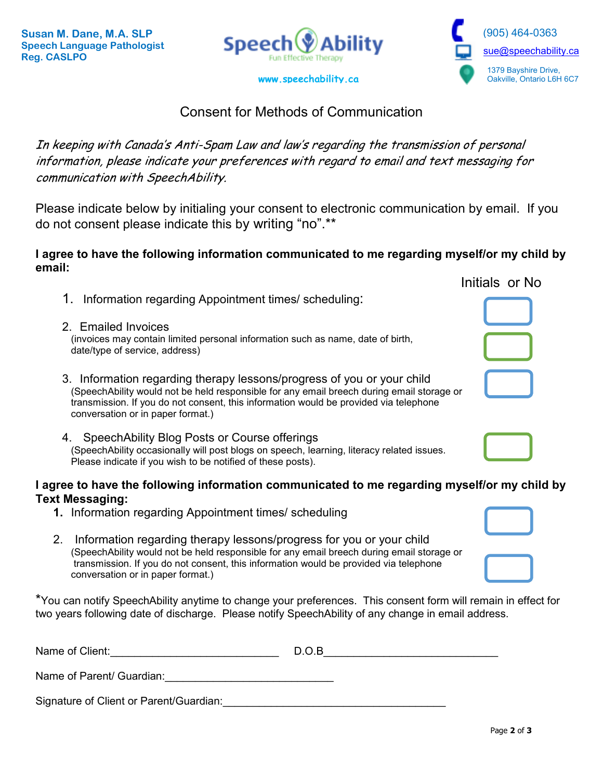



# Consent for Methods of Communication

In keeping with Canada's Anti-Spam Law and law's regarding the transmission of personal information, please indicate your preferences with regard to email and text messaging for communication with SpeechAbility.

Please indicate below by initialing your consent to electronic communication by email. If you do not consent please indicate this by writing "no".\*\*

### **I agree to have the following information communicated to me regarding myself/or my child by email:**

|                                                                                                                                                                                                                                                                                                   | Initials or No |
|---------------------------------------------------------------------------------------------------------------------------------------------------------------------------------------------------------------------------------------------------------------------------------------------------|----------------|
| 1. Information regarding Appointment times/scheduling:                                                                                                                                                                                                                                            |                |
| 2. Emailed Invoices<br>(invoices may contain limited personal information such as name, date of birth,<br>date/type of service, address)                                                                                                                                                          |                |
| 3. Information regarding therapy lessons/progress of you or your child<br>(SpeechAbility would not be held responsible for any email breech during email storage or<br>transmission. If you do not consent, this information would be provided via telephone<br>conversation or in paper format.) |                |
|                                                                                                                                                                                                                                                                                                   |                |

#### 4. SpeechAbility Blog Posts or Course offerings (SpeechAbility occasionally will post blogs on speech, learning, literacy related issues. Please indicate if you wish to be notified of these posts).

#### **I agree to have the following information communicated to me regarding myself/or my child by Text Messaging:**

- **1.** Information regarding Appointment times/ scheduling
- 2. Information regarding therapy lessons/progress for you or your child (SpeechAbility would not be held responsible for any email breech during email storage or transmission. If you do not consent, this information would be provided via telephone conversation or in paper format.)

\*You can notify SpeechAbility anytime to change your preferences. This consent form will remain in effect for two years following date of discharge. Please notify SpeechAbility of any change in email address.

| Name of Client:                         | D.O.B |  |
|-----------------------------------------|-------|--|
| Name of Parent/ Guardian:               |       |  |
| Signature of Client or Parent/Guardian: |       |  |